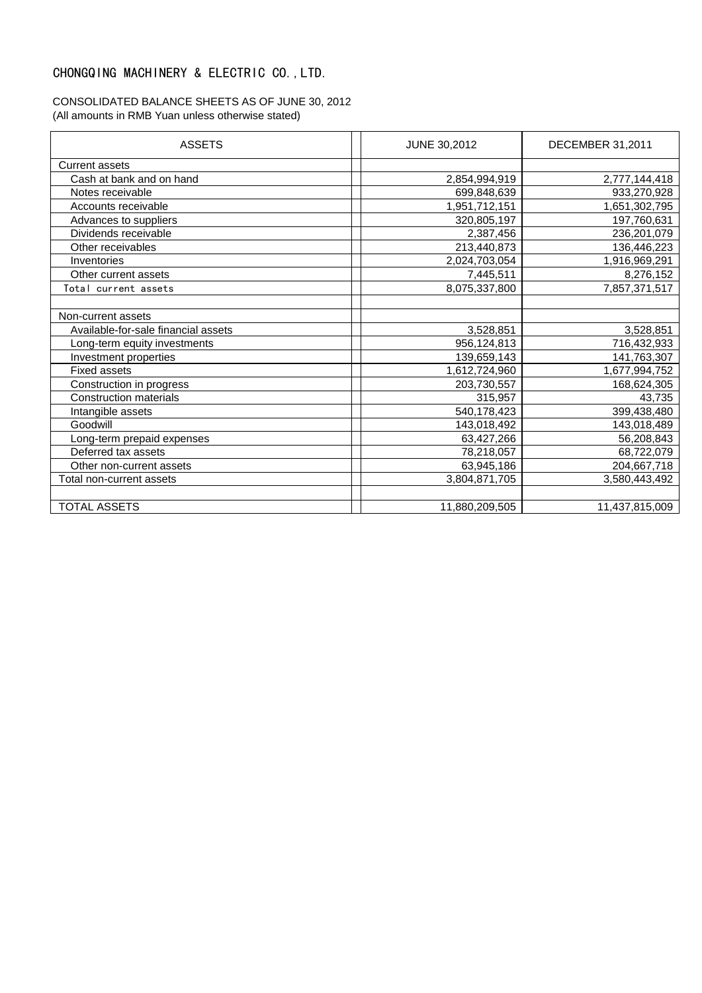## CHONGQING MACHINERY & ELECTRIC CO.,LTD.

### CONSOLIDATED BALANCE SHEETS AS OF JUNE 30, 2012 (All amounts in RMB Yuan unless otherwise stated)

| <b>ASSETS</b>                       | JUNE 30,2012   | DECEMBER 31,2011 |
|-------------------------------------|----------------|------------------|
| <b>Current assets</b>               |                |                  |
| Cash at bank and on hand            | 2,854,994,919  | 2,777,144,418    |
| Notes receivable                    | 699,848,639    | 933,270,928      |
| Accounts receivable                 | 1,951,712,151  | 1,651,302,795    |
| Advances to suppliers               | 320,805,197    | 197,760,631      |
| Dividends receivable                | 2,387,456      | 236, 201, 079    |
| Other receivables                   | 213,440,873    | 136,446,223      |
| Inventories                         | 2,024,703,054  | 1,916,969,291    |
| Other current assets                | 7,445,511      | 8,276,152        |
| Total current assets                | 8,075,337,800  | 7,857,371,517    |
|                                     |                |                  |
| Non-current assets                  |                |                  |
| Available-for-sale financial assets | 3,528,851      | 3,528,851        |
| Long-term equity investments        | 956,124,813    | 716,432,933      |
| Investment properties               | 139,659,143    | 141,763,307      |
| <b>Fixed assets</b>                 | 1,612,724,960  | 1,677,994,752    |
| Construction in progress            | 203,730,557    | 168,624,305      |
| <b>Construction materials</b>       | 315,957        | 43,735           |
| Intangible assets                   | 540,178,423    | 399,438,480      |
| Goodwill                            | 143,018,492    | 143,018,489      |
| Long-term prepaid expenses          | 63,427,266     | 56,208,843       |
| Deferred tax assets                 | 78,218,057     | 68,722,079       |
| Other non-current assets            | 63,945,186     | 204,667,718      |
| Total non-current assets            | 3,804,871,705  | 3,580,443,492    |
|                                     |                |                  |
| <b>TOTAL ASSETS</b>                 | 11,880,209,505 | 11,437,815,009   |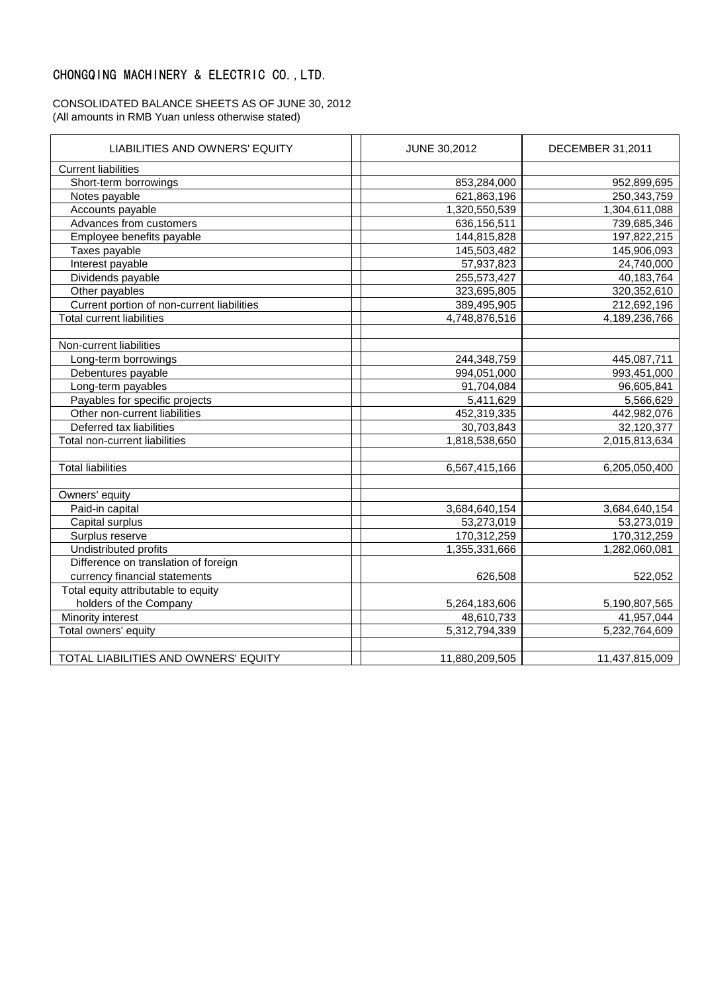### CHONGQING MACHINERY & ELECTRIC CO.,LTD.

#### CONSOLIDATED BALANCE SHEETS AS OF JUNE 30, 2012 (All amounts in RMB Yuan unless otherwise stated)

| LIABILITIES AND OWNERS' EQUITY             | <b>JUNE 30,2012</b> | <b>DECEMBER 31,2011</b> |
|--------------------------------------------|---------------------|-------------------------|
| <b>Current liabilities</b>                 |                     |                         |
| Short-term borrowings                      | 853,284,000         | 952,899,695             |
| Notes payable                              | 621,863,196         | 250,343,759             |
| Accounts payable                           | 1,320,550,539       | 1,304,611,088           |
| Advances from customers                    | 636,156,511         | 739,685,346             |
| Employee benefits payable                  | 144,815,828         | 197,822,215             |
| Taxes payable                              | 145,503,482         | 145,906,093             |
| Interest payable                           | 57,937,823          | 24,740,000              |
| Dividends payable                          | 255,573,427         | 40,183,764              |
| Other payables                             | 323,695,805         | 320,352,610             |
| Current portion of non-current liabilities | 389,495,905         | 212,692,196             |
| <b>Total current liabilities</b>           | 4,748,876,516       | 4,189,236,766           |
|                                            |                     |                         |
| Non-current liabilities                    |                     |                         |
| Long-term borrowings                       | 244,348,759         | 445,087,711             |
| Debentures payable                         | 994,051,000         | 993,451,000             |
| Long-term payables                         | 91,704,084          | 96,605,841              |
| Payables for specific projects             | 5,411,629           | 5,566,629               |
| Other non-current liabilities              | 452,319,335         | 442,982,076             |
| Deferred tax liabilities                   | 30,703,843          | 32,120,377              |
| Total non-current liabilities              | 1,818,538,650       | 2,015,813,634           |
|                                            |                     |                         |
| <b>Total liabilities</b>                   | 6,567,415,166       | 6,205,050,400           |
|                                            |                     |                         |
| Owners' equity                             |                     |                         |
| Paid-in capital                            | 3,684,640,154       | 3,684,640,154           |
| Capital surplus                            | 53,273,019          | 53,273,019              |
| Surplus reserve                            | 170,312,259         | 170,312,259             |
| Undistributed profits                      | 1,355,331,666       | 1,282,060,081           |
| Difference on translation of foreign       |                     |                         |
| currency financial statements              | 626,508             | 522,052                 |
| Total equity attributable to equity        |                     |                         |
| holders of the Company                     | 5,264,183,606       | 5,190,807,565           |
| Minority interest                          | 48,610,733          | 41,957,044              |
| Total owners' equity                       | 5,312,794,339       | 5,232,764,609           |
|                                            |                     |                         |
| TOTAL LIABILITIES AND OWNERS' EQUITY       | 11,880,209,505      | 11,437,815,009          |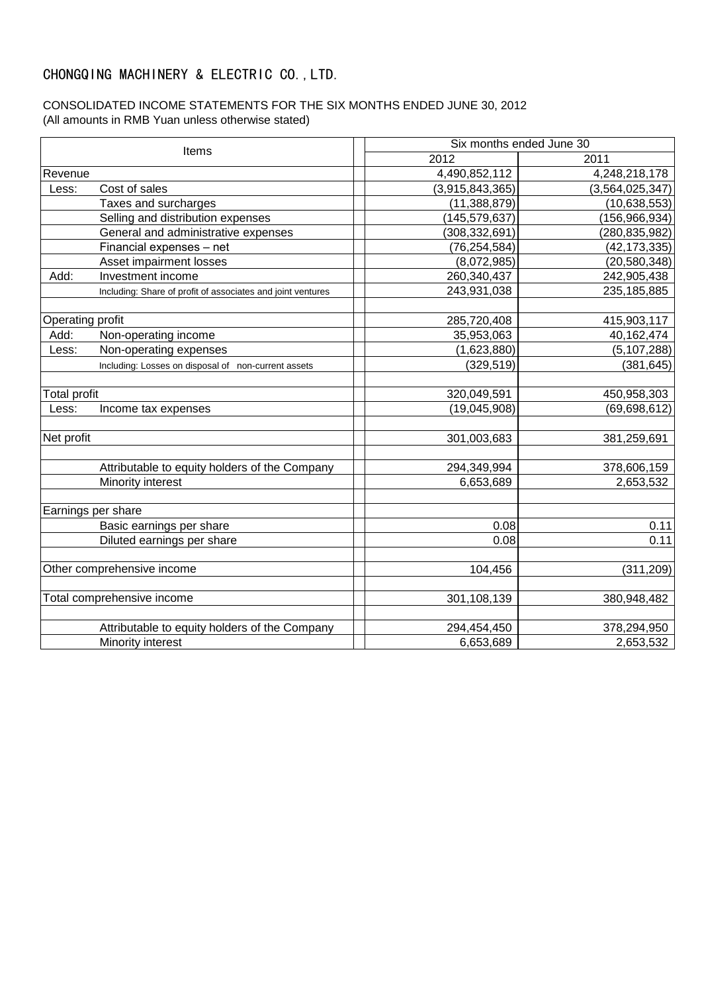## CHONGQING MACHINERY & ELECTRIC CO.,LTD.

### CONSOLIDATED INCOME STATEMENTS FOR THE SIX MONTHS ENDED JUNE 30, 2012 (All amounts in RMB Yuan unless otherwise stated)

| Items               |                                                             | Six months ended June 30 |                    |
|---------------------|-------------------------------------------------------------|--------------------------|--------------------|
|                     |                                                             | 2012                     | 2011               |
| Revenue             |                                                             | 4,490,852,112            | 4,248,218,178      |
| Less:               | Cost of sales                                               | (3,915,843,365)          | (3, 564, 025, 347) |
|                     | Taxes and surcharges                                        | (11, 388, 879)           | (10, 638, 553)     |
|                     | Selling and distribution expenses                           | (145, 579, 637)          | (156, 966, 934)    |
|                     | General and administrative expenses                         | (308, 332, 691)          | (280, 835, 982)    |
|                     | Financial expenses - net                                    | (76, 254, 584)           | (42, 173, 335)     |
|                     | Asset impairment losses                                     | (8,072,985)              | (20, 580, 348)     |
| Add:                | Investment income                                           | 260,340,437              | 242,905,438        |
|                     | Including: Share of profit of associates and joint ventures | 243,931,038              | 235, 185, 885      |
|                     |                                                             |                          |                    |
| Operating profit    |                                                             | 285,720,408              | 415,903,117        |
| Add:                | Non-operating income                                        | 35,953,063               | 40,162,474         |
| Less:               | Non-operating expenses                                      | (1,623,880)              | (5, 107, 288)      |
|                     | Including: Losses on disposal of non-current assets         | (329, 519)               | (381, 645)         |
|                     |                                                             |                          |                    |
| <b>Total profit</b> |                                                             | 320,049,591              | 450,958,303        |
| Less:               | Income tax expenses                                         | (19,045,908)             | (69, 698, 612)     |
| Net profit          |                                                             | 301,003,683              |                    |
|                     |                                                             |                          | 381,259,691        |
|                     | Attributable to equity holders of the Company               | 294,349,994              | 378,606,159        |
|                     | Minority interest                                           | 6,653,689                | 2,653,532          |
|                     |                                                             |                          |                    |
|                     | Earnings per share                                          |                          |                    |
|                     | Basic earnings per share                                    | 0.08                     | 0.11               |
|                     | Diluted earnings per share                                  | 0.08                     | 0.11               |
|                     | Other comprehensive income                                  | 104,456                  | (311, 209)         |
|                     | Total comprehensive income                                  | 301,108,139              | 380,948,482        |
|                     |                                                             |                          |                    |
|                     | Attributable to equity holders of the Company               | 294,454,450              | 378,294,950        |
| Minority interest   |                                                             | 6,653,689                | 2,653,532          |